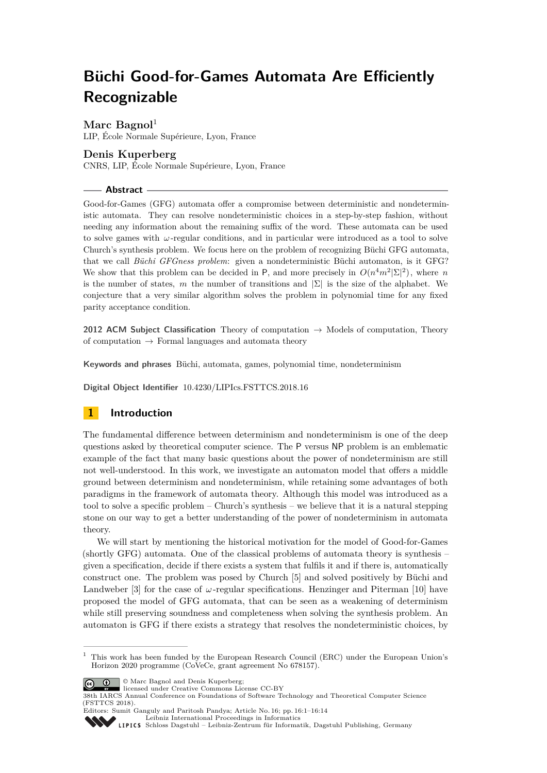# **Büchi Good-for-Games Automata Are Efficiently Recognizable**

# Marc Bagnol<sup>1</sup>

LIP, École Normale Supérieure, Lyon, France

# **Denis Kuperberg**

CNRS, LIP, École Normale Supérieure, Lyon, France

### **Abstract**

Good-for-Games (GFG) automata offer a compromise between deterministic and nondeterministic automata. They can resolve nondeterministic choices in a step-by-step fashion, without needing any information about the remaining suffix of the word. These automata can be used to solve games with *ω*-regular conditions, and in particular were introduced as a tool to solve Church's synthesis problem. We focus here on the problem of recognizing Büchi GFG automata, that we call *Büchi GFGness problem*: given a nondeterministic Büchi automaton, is it GFG? We show that this problem can be decided in P, and more precisely in  $O(n^4m^2|\Sigma|^2)$ , where *n* is the number of states, *m* the number of transitions and  $|\Sigma|$  is the size of the alphabet. We conjecture that a very similar algorithm solves the problem in polynomial time for any fixed parity acceptance condition.

**2012 ACM Subject Classification** Theory of computation  $\rightarrow$  Models of computation, Theory of computation  $\rightarrow$  Formal languages and automata theory

**Keywords and phrases** Büchi, automata, games, polynomial time, nondeterminism

**Digital Object Identifier** [10.4230/LIPIcs.FSTTCS.2018.16](https://doi.org/10.4230/LIPIcs.FSTTCS.2018.16)

# **1 Introduction**

The fundamental difference between determinism and nondeterminism is one of the deep questions asked by theoretical computer science. The P versus NP problem is an emblematic example of the fact that many basic questions about the power of nondeterminism are still not well-understood. In this work, we investigate an automaton model that offers a middle ground between determinism and nondeterminism, while retaining some advantages of both paradigms in the framework of automata theory. Although this model was introduced as a tool to solve a specific problem – Church's synthesis – we believe that it is a natural stepping stone on our way to get a better understanding of the power of nondeterminism in automata theory.

We will start by mentioning the historical motivation for the model of Good-for-Games (shortly GFG) automata. One of the classical problems of automata theory is synthesis – given a specification, decide if there exists a system that fulfils it and if there is, automatically construct one. The problem was posed by Church [\[5\]](#page-12-0) and solved positively by Büchi and Landweber [\[3\]](#page-12-1) for the case of  $\omega$ -regular specifications. Henzinger and Piterman [\[10\]](#page-12-2) have proposed the model of GFG automata, that can be seen as a weakening of determinism while still preserving soundness and completeness when solving the synthesis problem. An automaton is GFG if there exists a strategy that resolves the nondeterministic choices, by

© Marc Bagnol and Denis Kuperberg;  $\boxed{6}$  0



38th IARCS Annual Conference on Foundations of Software Technology and Theoretical Computer Science (FSTTCS 2018).

Editors: Sumit Ganguly and Paritosh Pandya; Article No. 16; pp. 16:1–16[:14](#page-13-0) [Leibniz International Proceedings in Informatics](http://www.dagstuhl.de/lipics/)

[Schloss Dagstuhl – Leibniz-Zentrum für Informatik, Dagstuhl Publishing, Germany](http://www.dagstuhl.de)

 $<sup>1</sup>$  This work has been funded by the European Research Council (ERC) under the European Union's</sup> Horizon 2020 programme (CoVeCe, grant agreement No 678157).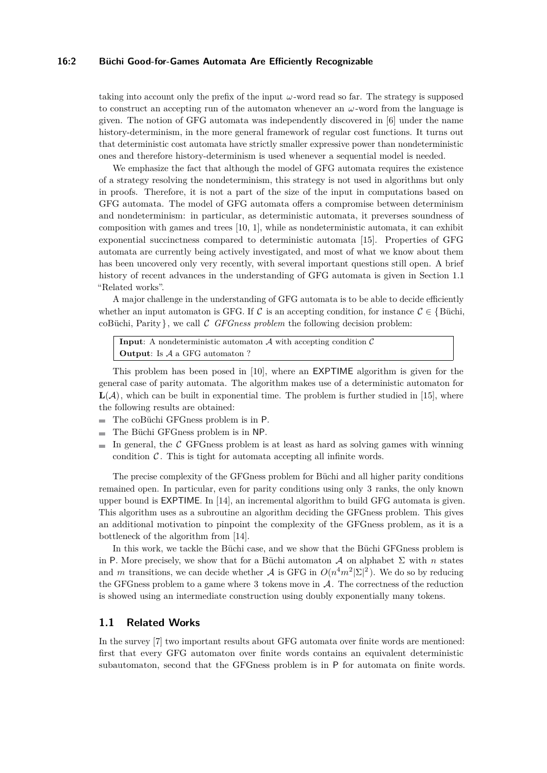#### **16:2 Büchi Good-for-Games Automata Are Efficiently Recognizable**

taking into account only the prefix of the input *ω*-word read so far. The strategy is supposed to construct an accepting run of the automaton whenever an *ω*-word from the language is given. The notion of GFG automata was independently discovered in [\[6\]](#page-12-3) under the name history-determinism, in the more general framework of regular cost functions. It turns out that deterministic cost automata have strictly smaller expressive power than nondeterministic ones and therefore history-determinism is used whenever a sequential model is needed.

We emphasize the fact that although the model of GFG automata requires the existence of a strategy resolving the nondeterminism, this strategy is not used in algorithms but only in proofs. Therefore, it is not a part of the size of the input in computations based on GFG automata. The model of GFG automata offers a compromise between determinism and nondeterminism: in particular, as deterministic automata, it preverses soundness of composition with games and trees [\[10,](#page-12-2) [1\]](#page-12-4), while as nondeterministic automata, it can exhibit exponential succinctness compared to deterministic automata [\[15\]](#page-13-1). Properties of GFG automata are currently being actively investigated, and most of what we know about them has been uncovered only very recently, with several important questions still open. A brief history of recent advances in the understanding of GFG automata is given in Section [1.1](#page-1-0) "Related works".

A major challenge in the understanding of GFG automata is to be able to decide efficiently whether an input automaton is GFG. If C is an accepting condition, for instance  $C \in \{$  Büchi, coBüchi, Parity}, we call C *GFGness problem* the following decision problem:

**Input:** A nondeterministic automaton  $A$  with accepting condition  $C$ **Output**: Is A a GFG automaton ?

This problem has been posed in [\[10\]](#page-12-2), where an EXPTIME algorithm is given for the general case of parity automata. The algorithm makes use of a deterministic automaton for  $\mathbf{L}(\mathcal{A})$ , which can be built in exponential time. The problem is further studied in [\[15\]](#page-13-1), where the following results are obtained:

- The coBüchi GFGness problem is in P.  $\rightarrow$
- The Büchi GFGness problem is in NP.
- In general, the  $C$  GFGness problem is at least as hard as solving games with winning condition  $C$ . This is tight for automata accepting all infinite words.

The precise complexity of the GFGness problem for Büchi and all higher parity conditions remained open. In particular, even for parity conditions using only 3 ranks, the only known upper bound is EXPTIME. In [\[14\]](#page-13-2), an incremental algorithm to build GFG automata is given. This algorithm uses as a subroutine an algorithm deciding the GFGness problem. This gives an additional motivation to pinpoint the complexity of the GFGness problem, as it is a bottleneck of the algorithm from [\[14\]](#page-13-2).

In this work, we tackle the Büchi case, and we show that the Büchi GFGness problem is in P. More precisely, we show that for a Büchi automaton  $\mathcal A$  on alphabet  $\Sigma$  with  $n$  states and *m* transitions, we can decide whether A is GFG in  $O(n^4m^2|\Sigma|^2)$ . We do so by reducing the GFGness problem to a game where  $3$  tokens move in  $A$ . The correctness of the reduction is showed using an intermediate construction using doubly exponentially many tokens.

## <span id="page-1-0"></span>**1.1 Related Works**

In the survey [\[7\]](#page-12-5) two important results about GFG automata over finite words are mentioned: first that every GFG automaton over finite words contains an equivalent deterministic subautomaton, second that the GFGness problem is in P for automata on finite words.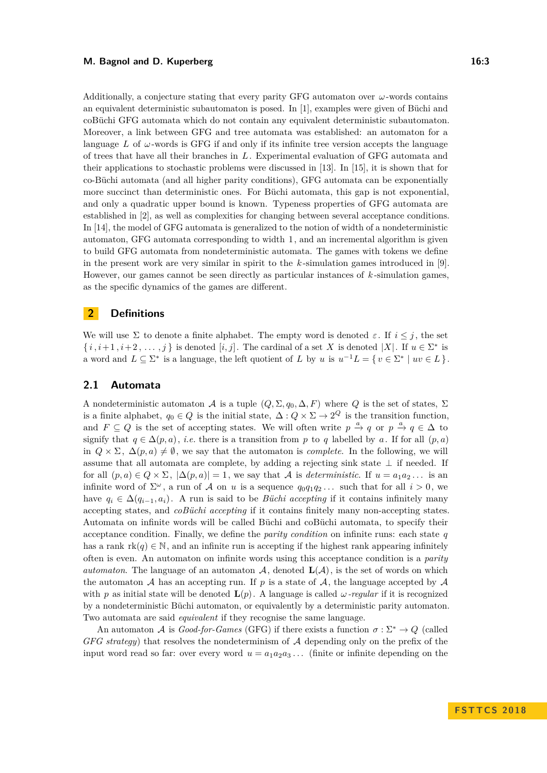Additionally, a conjecture stating that every parity GFG automaton over  $\omega$ -words contains an equivalent deterministic subautomaton is posed. In [\[1\]](#page-12-4), examples were given of Büchi and coBüchi GFG automata which do not contain any equivalent deterministic subautomaton. Moreover, a link between GFG and tree automata was established: an automaton for a language *L* of *ω*-words is GFG if and only if its infinite tree version accepts the language of trees that have all their branches in *L*. Experimental evaluation of GFG automata and their applications to stochastic problems were discussed in [\[13\]](#page-13-3). In [\[15\]](#page-13-1), it is shown that for co-Büchi automata (and all higher parity conditions), GFG automata can be exponentially more succinct than deterministic ones. For Büchi automata, this gap is not exponential, and only a quadratic upper bound is known. Typeness properties of GFG automata are established in [\[2\]](#page-12-6), as well as complexities for changing between several acceptance conditions. In [\[14\]](#page-13-2), the model of GFG automata is generalized to the notion of width of a nondeterministic automaton, GFG automata corresponding to width 1, and an incremental algorithm is given to build GFG automata from nondeterministic automata. The games with tokens we define in the present work are very similar in spirit to the *k* -simulation games introduced in [\[9\]](#page-12-7). However, our games cannot be seen directly as particular instances of *k* -simulation games, as the specific dynamics of the games are different.

# **2 Definitions**

We will use  $\Sigma$  to denote a finite alphabet. The empty word is denoted  $\varepsilon$ . If  $i \leq j$ , the set  $\{i, i+1, i+2, \ldots, j\}$  is denoted  $[i, j]$ . The cardinal of a set *X* is denoted  $|X|$ . If  $u \in \Sigma^*$  is a word and  $L \subseteq \Sigma^*$  is a language, the left quotient of *L* by *u* is  $u^{-1}L = \{ v \in \Sigma^* \mid uv \in L \}.$ 

# <span id="page-2-0"></span>**2.1 Automata**

A nondeterministic automaton A is a tuple  $(Q, \Sigma, q_0, \Delta, F)$  where Q is the set of states,  $\Sigma$ is a finite alphabet,  $q_0 \in Q$  is the initial state,  $\Delta: Q \times \Sigma \to 2^Q$  is the transition function, and  $F \subseteq Q$  is the set of accepting states. We will often write  $p \stackrel{a}{\rightarrow} q$  or  $p \stackrel{a}{\rightarrow} q \in \Delta$  to signify that  $q \in \Delta(p, a)$ , *i.e.* there is a transition from p to q labelled by a. If for all  $(p, a)$ in  $Q \times \Sigma$ ,  $\Delta(p, a) \neq \emptyset$ , we say that the automaton is *complete*. In the following, we will assume that all automata are complete, by adding a rejecting sink state  $\perp$  if needed. If for all  $(p, a) \in Q \times \Sigma$ ,  $|\Delta(p, a)| = 1$ , we say that A is *deterministic*. If  $u = a_1 a_2 \dots$  is an infinite word of  $\Sigma^{\omega}$ , a run of A on *u* is a sequence  $q_0q_1q_2...$  such that for all  $i > 0$ , we have  $q_i \in \Delta(q_{i-1}, a_i)$ . A run is said to be *Büchi accepting* if it contains infinitely many accepting states, and *coBüchi accepting* if it contains finitely many non-accepting states. Automata on infinite words will be called Büchi and coBüchi automata, to specify their acceptance condition. Finally, we define the *parity condition* on infinite runs: each state *q* has a rank  $rk(q) \in \mathbb{N}$ , and an infinite run is accepting if the highest rank appearing infinitely often is even. An automaton on infinite words using this acceptance condition is a *parity automaton*. The language of an automaton  $\mathcal{A}$ , denoted  $\mathbf{L}(\mathcal{A})$ , is the set of words on which the automaton  $A$  has an accepting run. If  $p$  is a state of  $A$ , the language accepted by  $A$ with *p* as initial state will be denoted  $\mathbf{L}(p)$ . A language is called *ω-regular* if it is recognized by a nondeterministic Büchi automaton, or equivalently by a deterministic parity automaton. Two automata are said *equivalent* if they recognise the same language.

An automaton A is *Good-for-Games* (GFG) if there exists a function  $\sigma : \Sigma^* \to Q$  (called *GFG strategy*) that resolves the nondeterminism of A depending only on the prefix of the input word read so far: over every word  $u = a_1 a_2 a_3 \dots$  (finite or infinite depending on the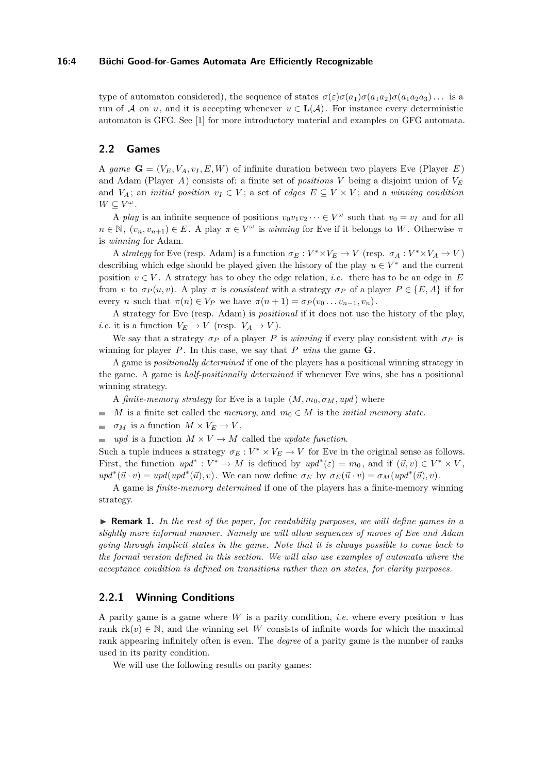#### **16:4 Büchi Good-for-Games Automata Are Efficiently Recognizable**

type of automaton considered), the sequence of states  $\sigma(\varepsilon)\sigma(a_1)\sigma(a_1a_2)\sigma(a_1a_2a_3)$ ... is a run of A on *u*, and it is accepting whenever  $u \in L(\mathcal{A})$ . For instance every deterministic automaton is GFG. See [\[1\]](#page-12-4) for more introductory material and examples on GFG automata.

## **2.2 Games**

A *game*  $\mathbf{G} = (V_E, V_A, v_I, E, W)$  of infinite duration between two players Eve (Player *E*) and Adam (Player *A*) consists of: a finite set of *positions V* being a disjoint union of *V<sup>E</sup>* and  $V_A$ ; an *initial position*  $v_I \in V$ ; a set of *edges*  $E \subseteq V \times V$ ; and a *winning condition*  $W \subseteq V^{\omega}$ .

A *play* is an infinite sequence of positions  $v_0v_1v_2\cdots \in V^{\omega}$  such that  $v_0 = v_I$  and for all  $n \in \mathbb{N}$ ,  $(v_n, v_{n+1}) \in E$ . A play  $\pi \in V^\omega$  is *winning* for Eve if it belongs to *W*. Otherwise  $\pi$ is *winning* for Adam.

A *strategy* for Eve (resp. Adam) is a function  $\sigma_E : V^* \times V_E \to V$  (resp.  $\sigma_A : V^* \times V_A \to V$ ) describing which edge should be played given the history of the play  $u \in V^*$  and the current position  $v \in V$ . A strategy has to obey the edge relation, *i.e.* there has to be an edge in E from *v* to  $\sigma_P(u, v)$ . A play  $\pi$  is *consistent* with a strategy  $\sigma_P$  of a player  $P \in \{E, A\}$  if for every *n* such that  $\pi(n) \in V_P$  we have  $\pi(n+1) = \sigma_P(v_0 \dots v_{n-1}, v_n)$ .

A strategy for Eve (resp. Adam) is *positional* if it does not use the history of the play, *i.e.* it is a function  $V_E \to V$  (resp.  $V_A \to V$ ).

We say that a strategy  $\sigma_P$  of a player *P* is *winning* if every play consistent with  $\sigma_P$  is winning for player  $P$ . In this case, we say that  $P$  *wins* the game  $G$ .

A game is *positionally determined* if one of the players has a positional winning strategy in the game. A game is *half-positionally determined* if whenever Eve wins, she has a positional winning strategy.

A *finite-memory strategy* for Eve is a tuple  $(M, m_0, \sigma_M, upd)$  where

- *M* is a finite set called the *memory*, and  $m_0 \in M$  is the *initial memory state*.  $\sim$
- $\blacksquare$  *σM* is a function  $M \times V_E \to V$ ,
- $\equiv$  *upd* is a function  $M \times V \rightarrow M$  called the *update function*.

Such a tuple induces a strategy  $\sigma_E : V^* \times V_E \to V$  for Eve in the original sense as follows. First, the function  $upd^* : V^* \to M$  is defined by  $upd^*(\varepsilon) = m_0$ , and if  $(\vec{u}, v) \in V^* \times V$ ,  $u p d^*(\vec{u} \cdot v) = u p d (u p d^*(\vec{u}), v)$ . We can now define  $\sigma_E$  by  $\sigma_E(\vec{u} \cdot v) = \sigma_M(u p d^*(\vec{u}), v)$ .

A game is *finite-memory determined* if one of the players has a finite-memory winning strategy.

▶ **Remark 1.** *In the rest of the paper, for readability purposes, we will define games in a slightly more informal manner. Namely we will allow sequences of moves of Eve and Adam going through implicit states in the game. Note that it is always possible to come back to the formal version defined in this section. We will also use examples of automata where the acceptance condition is defined on transitions rather than on states, for clarity purposes.*

#### **2.2.1 Winning Conditions**

A parity game is a game where *W* is a parity condition, *i.e.* where every position *v* has rank  $rk(v) \in \mathbb{N}$ , and the winning set W consists of infinite words for which the maximal rank appearing infinitely often is even. The *degree* of a parity game is the number of ranks used in its parity condition.

We will use the following results on parity games: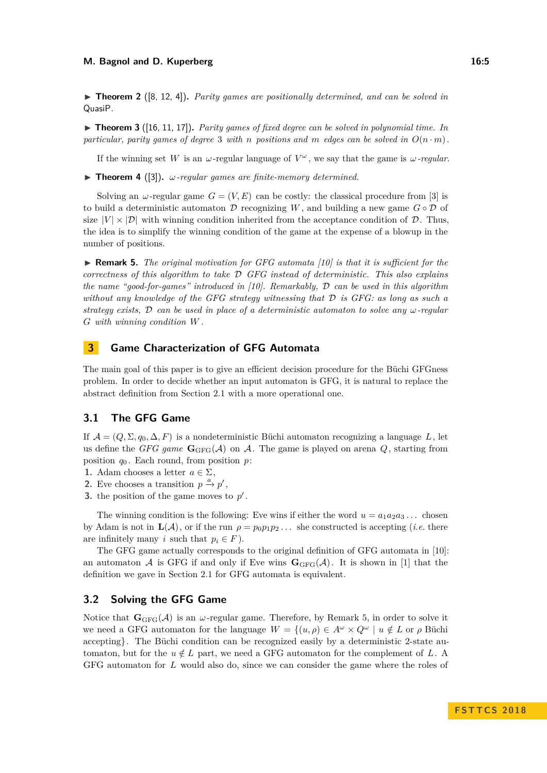<span id="page-4-3"></span>▶ **Theorem 2** ([\[8,](#page-12-8) [12,](#page-13-4) [4\]](#page-12-9)). *Parity games are positionally determined, and can be solved in* QuasiP*.*

<span id="page-4-2"></span> $\triangleright$  **Theorem 3** ([\[16,](#page-13-5) [11,](#page-13-6) [17\]](#page-13-7)). *Parity games of fixed degree can be solved in polynomial time. In* particular, parity games of degree 3 with *n* positions and *m* edges can be solved in  $O(n \cdot m)$ .

If the winning set W is an  $\omega$ -regular language of  $V^{\omega}$ , we say that the game is  $\omega$ -regular.

<span id="page-4-4"></span>**Findmergeright Figure 4** ([\[3\]](#page-12-1)).  $\omega$ -regular games are finite-memory determined.

Solving an  $\omega$ -regular game  $G = (V, E)$  can be costly: the classical procedure from [\[3\]](#page-12-1) is to build a deterministic automaton  $\mathcal D$  recognizing *W*, and building a new game  $G \circ \mathcal D$  of size  $|V| \times |\mathcal{D}|$  with winning condition inherited from the acceptance condition of  $\mathcal{D}$ . Thus, the idea is to simplify the winning condition of the game at the expense of a blowup in the number of positions.

<span id="page-4-0"></span>▶ **Remark 5.** *The original motivation for GFG automata [\[10\]](#page-12-2) is that it is sufficient for the correctness of this algorithm to take* D *GFG instead of deterministic. This also explains the name "good-for-games" introduced in [\[10\]](#page-12-2). Remarkably,* D *can be used in this algorithm without any knowledge of the GFG strategy witnessing that* D *is GFG: as long as such a strategy exists,* D *can be used in place of a deterministic automaton to solve any ω-regular G with winning condition W .*

# **3 Game Characterization of GFG Automata**

The main goal of this paper is to give an efficient decision procedure for the Büchi GFGness problem. In order to decide whether an input automaton is GFG, it is natural to replace the abstract definition from Section [2.1](#page-2-0) with a more operational one.

# **3.1 The GFG Game**

If  $\mathcal{A} = (Q, \Sigma, q_0, \Delta, F)$  is a nondeterministic Büchi automaton recognizing a language L, let us define the *GFG game*  $\mathbf{G}_{GFG}(\mathcal{A})$  on  $\mathcal{A}$ . The game is played on arena  $Q$ , starting from position  $q_0$ . Each round, from position  $p$ :

- **1.** Adam chooses a letter  $a \in \Sigma$ ,
- **2.** Eve chooses a transition  $p \stackrel{a}{\rightarrow} p'$ ,
- **3.** the position of the game moves to  $p'$ .

The winning condition is the following: Eve wins if either the word  $u = a_1 a_2 a_3 \dots$  chosen by Adam is not in  $\mathbf{L}(\mathcal{A})$ , or if the run  $\rho = p_0 p_1 p_2 \dots$  she constructed is accepting (*i.e.* there are infinitely many *i* such that  $p_i \in F$ ).

The GFG game actually corresponds to the original definition of GFG automata in [\[10\]](#page-12-2): an automaton A is GFG if and only if Eve wins  $\mathbf{G}_{\text{GFG}}(\mathcal{A})$ . It is shown in [\[1\]](#page-12-4) that the definition we gave in Section [2.1](#page-2-0) for GFG automata is equivalent.

## <span id="page-4-1"></span>**3.2 Solving the GFG Game**

Notice that  $\mathbf{G}_{GFG}(\mathcal{A})$  is an *ω*-regular game. Therefore, by Remark [5,](#page-4-0) in order to solve it we need a GFG automaton for the language  $W = \{(u, \rho) \in A^{\omega} \times Q^{\omega} \mid u \notin L \text{ or } \rho \text{ Büchi}$ accepting}. The Büchi condition can be recognized easily by a deterministic 2-state automaton, but for the  $u \notin L$  part, we need a GFG automaton for the complement of L. A GFG automaton for *L* would also do, since we can consider the game where the roles of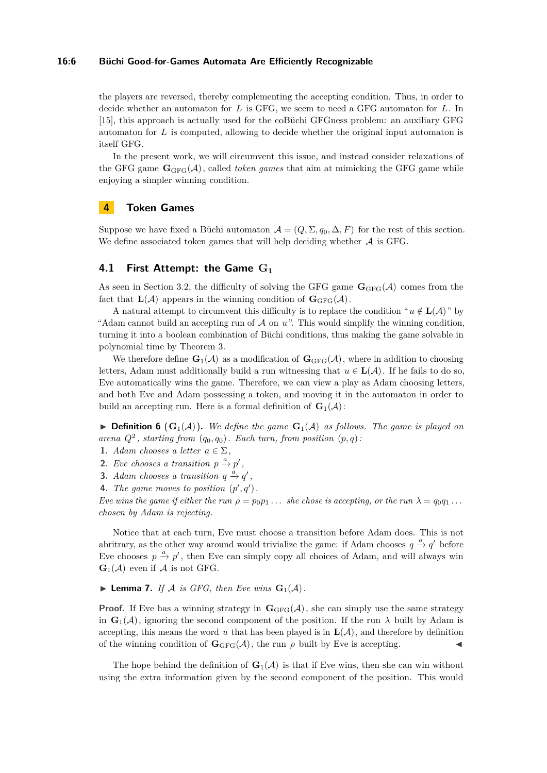#### **16:6 Büchi Good-for-Games Automata Are Efficiently Recognizable**

the players are reversed, thereby complementing the accepting condition. Thus, in order to decide whether an automaton for *L* is GFG, we seem to need a GFG automaton for *L*. In [\[15\]](#page-13-1), this approach is actually used for the coBüchi GFGness problem: an auxiliary GFG automaton for *L* is computed, allowing to decide whether the original input automaton is itself GFG.

In the present work, we will circumvent this issue, and instead consider relaxations of the GFG game  $\mathbf{G}_{\text{GFG}}(\mathcal{A})$ , called *token games* that aim at mimicking the GFG game while enjoying a simpler winning condition.

# **4 Token Games**

Suppose we have fixed a Büchi automaton  $\mathcal{A} = (Q, \Sigma, q_0, \Delta, F)$  for the rest of this section. We define associated token games that will help deciding whether  $A$  is GFG.

### **4.1 First Attempt: the Game G<sup>1</sup>**

As seen in Section [3.2,](#page-4-1) the difficulty of solving the GFG game  $\mathbf{G}_{GFG}(\mathcal{A})$  comes from the fact that  $\mathbf{L}(\mathcal{A})$  appears in the winning condition of  $\mathbf{G}_{\text{GFG}}(\mathcal{A})$ .

A natural attempt to circumvent this difficulty is to replace the condition " $u \notin L(\mathcal{A})$ " by "Adam cannot build an accepting run of A on *u*". This would simplify the winning condition, turning it into a boolean combination of Büchi conditions, thus making the game solvable in polynomial time by Theorem [3.](#page-4-2)

We therefore define  $\mathbf{G}_1(\mathcal{A})$  as a modification of  $\mathbf{G}_{GFG}(\mathcal{A})$ , where in addition to choosing letters, Adam must additionally build a run witnessing that  $u \in L(\mathcal{A})$ . If he fails to do so, Eve automatically wins the game. Therefore, we can view a play as Adam choosing letters, and both Eve and Adam possessing a token, and moving it in the automaton in order to build an accepting run. Here is a formal definition of  $\mathbf{G}_1(\mathcal{A})$ :

 $\blacktriangleright$  **Definition 6** ( $\mathbf{G}_1(\mathcal{A})$ ). We define the game  $\mathbf{G}_1(\mathcal{A})$  as follows. The game is played on *arena*  $Q^2$ , *starting from*  $(q_0, q_0)$ *. Each turn, from position*  $(p, q)$ *:* 

- **1.** *Adam chooses a letter*  $a \in \Sigma$ ,
- **2.** *Eve chooses a transition*  $p \stackrel{a}{\rightarrow} p'$ ,
- **3.** *Adam chooses a transition*  $q \stackrel{a}{\rightarrow} q'$ ,
- **4.** *The game moves to position*  $(p', q')$ *.*

*Eve wins the game if either the run*  $\rho = p_0 p_1 \dots$  *she chose is accepting, or the run*  $\lambda = q_0 q_1 \dots$ *chosen by Adam is rejecting.*

Notice that at each turn, Eve must choose a transition before Adam does. This is not abritrary, as the other way around would trivialize the game: if Adam chooses  $q \stackrel{a}{\rightarrow} q'$  before Eve chooses  $p \stackrel{a}{\rightarrow} p'$ , then Eve can simply copy all choices of Adam, and will always win  $\mathbf{G}_1(\mathcal{A})$  even if  $\mathcal{A}$  is not GFG.

## <span id="page-5-0"></span> $\blacktriangleright$  **Lemma 7.** *If*  $\blacktriangle$  *is GFG, then Eve wins*  $\mathbf{G}_1(\mathcal{A})$ *.*

**Proof.** If Eve has a winning strategy in  $\mathbf{G}_{GFG}(\mathcal{A})$ , she can simply use the same strategy in  $\mathbf{G}_1(\mathcal{A})$ , ignoring the second component of the position. If the run  $\lambda$  built by Adam is accepting, this means the word  $u$  that has been played is in  $\mathbf{L}(\mathcal{A})$ , and therefore by definition of the winning condition of  $\mathbf{G}_{\text{GFG}}(\mathcal{A})$ , the run  $\rho$  built by Eve is accepting.

The hope behind the definition of  $\mathbf{G}_1(\mathcal{A})$  is that if Eve wins, then she can win without using the extra information given by the second component of the position. This would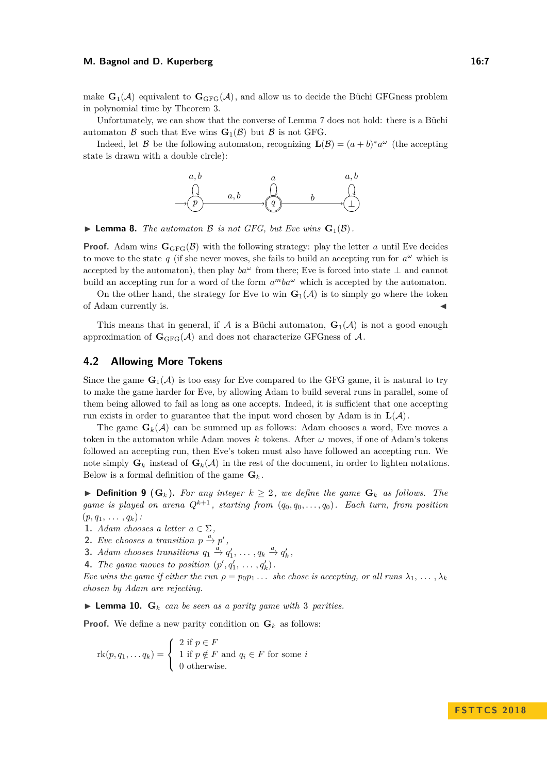make  $\mathbf{G}_1(\mathcal{A})$  equivalent to  $\mathbf{G}_{GFG}(\mathcal{A})$ , and allow us to decide the Büchi GFGness problem in polynomial time by Theorem [3.](#page-4-2)

Unfortunately, we can show that the converse of Lemma [7](#page-5-0) does not hold: there is a Büchi automaton  $\mathcal{B}$  such that Eve wins  $\mathbf{G}_1(\mathcal{B})$  but  $\mathcal{B}$  is not GFG.

Indeed, let B be the following automaton, recognizing  $\mathbf{L}(\mathcal{B}) = (a+b)^* a^{\omega}$  (the accepting state is drawn with a double circle):



 $\blacktriangleright$  **Lemma 8.** *The automaton B is not GFG, but Eve wins*  $\mathbf{G}_1(\mathcal{B})$ .

**Proof.** Adam wins  $\mathbf{G}_{\text{GFG}}(\mathcal{B})$  with the following strategy: play the letter *a* until Eve decides to move to the state  $q$  (if she never moves, she fails to build an accepting run for  $a^{\omega}$  which is accepted by the automaton), then play  $ba^{\omega}$  from there; Eve is forced into state  $\perp$  and cannot build an accepting run for a word of the form  $a^mba^{\omega}$  which is accepted by the automaton.

On the other hand, the strategy for Eve to win  $\mathbf{G}_1(\mathcal{A})$  is to simply go where the token of Adam currently is. J

This means that in general, if  $A$  is a Büchi automaton,  $\mathbf{G}_1(A)$  is not a good enough approximation of  $\mathbf{G}_{GFG}(\mathcal{A})$  and does not characterize GFGness of  $\mathcal{A}$ .

## **4.2 Allowing More Tokens**

Since the game  $\mathbf{G}_1(\mathcal{A})$  is too easy for Eve compared to the GFG game, it is natural to try to make the game harder for Eve, by allowing Adam to build several runs in parallel, some of them being allowed to fail as long as one accepts. Indeed, it is sufficient that one accepting run exists in order to guarantee that the input word chosen by Adam is in  $\mathbf{L}(\mathcal{A})$ .

The game  $\mathbf{G}_k(\mathcal{A})$  can be summed up as follows: Adam chooses a word, Eve moves a token in the automaton while Adam moves *k* tokens. After *ω* moves, if one of Adam's tokens followed an accepting run, then Eve's token must also have followed an accepting run. We note simply  $\mathbf{G}_k$  instead of  $\mathbf{G}_k(\mathcal{A})$  in the rest of the document, in order to lighten notations. Below is a formal definition of the game  $\mathbf{G}_k$ .

▶ **Definition 9** ( $\mathbf{G}_k$ ). For any integer  $k \geq 2$ , we define the game  $\mathbf{G}_k$  as follows. The *game is played on arena*  $Q^{k+1}$ *, starting from*  $(q_0, q_0, \ldots, q_0)$ *. Each turn, from position*  $(p, q_1, \ldots, q_k)$ :

**1.** *Adam chooses a letter*  $a \in \Sigma$ .

**2.** *Eve chooses a transition*  $p \stackrel{a}{\rightarrow} p'$ ,

- **3.** *Adam chooses transitions*  $q_1 \stackrel{a}{\rightarrow} q'_1, \ldots, q_k \stackrel{a}{\rightarrow} q'_k$ ,
- **4.** *The game moves to position*  $(p', q'_1, \ldots, q'_k)$ *.*

*Eve wins the game if either the run*  $\rho = p_0 p_1 \dots$  *she chose is accepting, or all runs*  $\lambda_1, \dots, \lambda_k$ *chosen by Adam are rejecting.*

<span id="page-6-0"></span> $\blacktriangleright$  **Lemma 10.**  $\mathbf{G}_k$  *can be seen as a parity game with* 3 *parities.* 

**Proof.** We define a new parity condition on  $\mathbf{G}_k$  as follows:

$$
rk(p, q_1, \dots q_k) = \begin{cases} 2 \text{ if } p \in F \\ 1 \text{ if } p \notin F \text{ and } q_i \in F \text{ for some } i \\ 0 \text{ otherwise.} \end{cases}
$$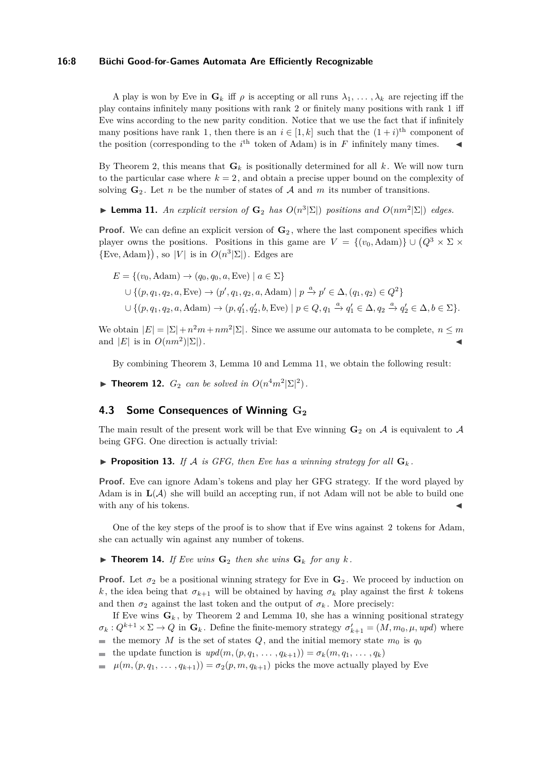#### **16:8 Büchi Good-for-Games Automata Are Efficiently Recognizable**

A play is won by Eve in  $\mathbf{G}_k$  iff  $\rho$  is accepting or all runs  $\lambda_1, \ldots, \lambda_k$  are rejecting iff the play contains infinitely many positions with rank 2 or finitely many positions with rank 1 iff Eve wins according to the new parity condition. Notice that we use the fact that if infinitely many positions have rank 1, then there is an  $i \in [1, k]$  such that the  $(1 + i)$ <sup>th</sup> component of the position (corresponding to the  $i^{\text{th}}$  token of Adam) is in *F* infinitely many times.

By Theorem [2,](#page-4-3) this means that  $\mathbf{G}_k$  is positionally determined for all k. We will now turn to the particular case where  $k = 2$ , and obtain a precise upper bound on the complexity of solving  $\mathbf{G}_2$ . Let *n* be the number of states of A and m its number of transitions.

<span id="page-7-0"></span>▶ **Lemma 11.** *An explicit version of*  $\mathbf{G}_2$  *has*  $O(n^3|\Sigma|)$  *positions and*  $O(nm^2|\Sigma|)$  *edges.* 

**Proof.** We can define an explicit version of  $\mathbf{G}_2$ , where the last component specifies which player owns the positions. Positions in this game are  $V = \{(v_0, \text{Adam})\} \cup (Q^3 \times \Sigma)$  ${Eve, Adam}$ , so  $|V|$  is in  $O(n^3|\Sigma|)$ . Edges are

$$
E = \{(v_0, \text{Adam}) \rightarrow (q_0, q_0, a, \text{Eve}) \mid a \in \Sigma\}
$$
  

$$
\cup \{(p, q_1, q_2, a, \text{Eve}) \rightarrow (p', q_1, q_2, a, \text{Adam}) \mid p \xrightarrow{a} p' \in \Delta, (q_1, q_2) \in Q^2\}
$$
  

$$
\cup \{(p, q_1, q_2, a, \text{Adam}) \rightarrow (p, q'_1, q'_2, b, \text{Eve}) \mid p \in Q, q_1 \xrightarrow{a} q'_1 \in \Delta, q_2 \xrightarrow{a} q'_2 \in \Delta, b \in \Sigma\}.
$$

We obtain  $|E| = |\Sigma| + n^2 m + nm^2 |\Sigma|$ . Since we assume our automata to be complete,  $n \leq m$ and  $|E|$  is in  $O(nm^2)|\Sigma|$ .  $\vert \Sigma \vert$ ).

By combining Theorem [3,](#page-4-2) Lemma [10](#page-6-0) and Lemma [11,](#page-7-0) we obtain the following result:

<span id="page-7-3"></span>**► Theorem 12.**  $G_2$  *can be solved in*  $O(n^4m^2|\Sigma|^2)$ *.* 

# **4.3 Some Consequences of Winning G<sup>2</sup>**

The main result of the present work will be that Eve winning  $\mathbf{G}_2$  on A is equivalent to A being GFG. One direction is actually trivial:

<span id="page-7-1"></span>**Proposition 13.** *If*  $A$  *is GFG, then Eve has a winning strategy for all*  $G_k$ .

**Proof.** Eve can ignore Adam's tokens and play her GFG strategy. If the word played by Adam is in  $\mathbf{L}(\mathcal{A})$  she will build an accepting run, if not Adam will not be able to build one with any of his tokens.

One of the key steps of the proof is to show that if Eve wins against 2 tokens for Adam, she can actually win against any number of tokens.

<span id="page-7-2"></span> $\triangleright$  **Theorem 14.** *If Eve wins*  $\mathbf{G}_2$  *then she wins*  $\mathbf{G}_k$  *for any k*.

**Proof.** Let  $\sigma_2$  be a positional winning strategy for Eve in  $\mathbf{G}_2$ . We proceed by induction on *k*, the idea being that  $\sigma_{k+1}$  will be obtained by having  $\sigma_k$  play against the first *k* tokens and then  $\sigma_2$  against the last token and the output of  $\sigma_k$ . More precisely:

If Eve wins  $\mathbf{G}_k$ , by Theorem [2](#page-4-3) and Lemma [10,](#page-6-0) she has a winning positional strategy  $\sigma_k: Q^{k+1} \times \Sigma \to Q$  in  $\mathbf{G}_k$ . Define the finite-memory strategy  $\sigma'_{k+1} = (M, m_0, \mu, upd)$  where the memory *M* is the set of states  $Q$ , and the initial memory state  $m_0$  is  $q_0$ 

- the update function is  $upd(m, (p, q_1, \ldots, q_{k+1})) = \sigma_k(m, q_1, \ldots, q_k)$
- $\mu(m,(p,q_1,\ldots,q_{k+1})) = \sigma_2(p,m,q_{k+1})$  picks the move actually played by Eve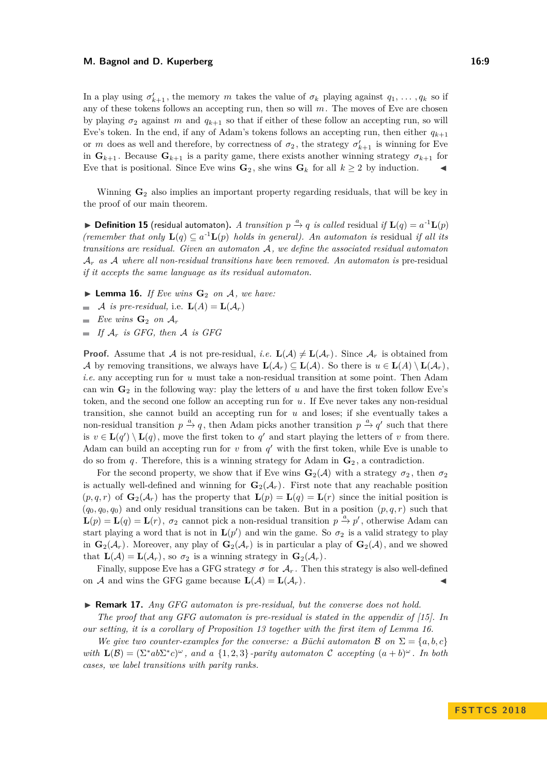In a play using  $\sigma'_{k+1}$ , the memory *m* takes the value of  $\sigma_k$  playing against  $q_1, \ldots, q_k$  so if any of these tokens follows an accepting run, then so will *m*. The moves of Eve are chosen by playing  $\sigma_2$  against *m* and  $q_{k+1}$  so that if either of these follow an accepting run, so will Eve's token. In the end, if any of Adam's tokens follows an accepting run, then either  $q_{k+1}$ or *m* does as well and therefore, by correctness of  $\sigma_2$ , the strategy  $\sigma'_{k+1}$  is winning for Eve in  $\mathbf{G}_{k+1}$ . Because  $\mathbf{G}_{k+1}$  is a parity game, there exists another winning strategy  $\sigma_{k+1}$  for Eve that is positional. Since Eve wins  $\mathbf{G}_2$ , she wins  $\mathbf{G}_k$  for all  $k \geq 2$  by induction.

Winning **G**<sup>2</sup> also implies an important property regarding residuals, that will be key in the proof of our main theorem.

▶ **Definition 15** (residual automaton). *A transition*  $p \xrightarrow{a} q$  *is called* residual *if*  $\mathbf{L}(q) = a^{-1}\mathbf{L}(p)$ *(remember that only*  $\mathbf{L}(q) \subseteq a^{-1}\mathbf{L}(p)$  *holds in general). An automaton is* residual *if all its transitions are residual. Given an automaton* A*, we define the associated residual automaton* A*<sup>r</sup> as* A *where all non-residual transitions have been removed. An automaton is* pre-residual *if it accepts the same language as its residual automaton.*

- <span id="page-8-0"></span> $\blacktriangleright$  **Lemma 16.** *If Eve wins*  $\mathbf{G}_2$  *on*  $\mathcal{A}$ *, we have:*
- A *is pre-residual*, i.e.  $\mathbf{L}(A) = \mathbf{L}(\mathcal{A}_r)$
- *Eve wins*  $\mathbf{G}_2$  *on*  $\mathcal{A}_r$
- $\blacksquare$  *If*  $\mathcal{A}_r$  *is GFG, then*  $\mathcal{A}$  *is GFG*

**Proof.** Assume that A is not pre-residual, *i.e.*  $\mathbf{L}(\mathcal{A}) \neq \mathbf{L}(\mathcal{A}_r)$ . Since  $\mathcal{A}_r$  is obtained from A by removing transitions, we always have  $\mathbf{L}(\mathcal{A}_r) \subseteq \mathbf{L}(\mathcal{A})$ . So there is  $u \in \mathbf{L}(A) \setminus \mathbf{L}(\mathcal{A}_r)$ . *i.e.* any accepting run for *u* must take a non-residual transition at some point. Then Adam can win  $\mathbf{G}_2$  in the following way: play the letters of *u* and have the first token follow Eve's token, and the second one follow an accepting run for *u*. If Eve never takes any non-residual transition, she cannot build an accepting run for *u* and loses; if she eventually takes a non-residual transition  $p \stackrel{a}{\rightarrow} q$ , then Adam picks another transition  $p \stackrel{a}{\rightarrow} q'$  such that there is  $v \in L(q') \setminus L(q)$ , move the first token to  $q'$  and start playing the letters of *v* from there. Adam can build an accepting run for  $v$  from  $q'$  with the first token, while Eve is unable to do so from *q*. Therefore, this is a winning strategy for Adam in  $\mathbf{G}_2$ , a contradiction.

For the second property, we show that if Eve wins  $\mathbf{G}_2(\mathcal{A})$  with a strategy  $\sigma_2$ , then  $\sigma_2$ is actually well-defined and winning for  $\mathbf{G}_2(\mathcal{A}_r)$ . First note that any reachable position  $(p, q, r)$  of  $\mathbf{G}_2(\mathcal{A}_r)$  has the property that  $\mathbf{L}(p) = \mathbf{L}(q) = \mathbf{L}(r)$  since the initial position is  $(q_0, q_0, q_0)$  and only residual transitions can be taken. But in a position  $(p, q, r)$  such that  $\mathbf{L}(p) = \mathbf{L}(q) = \mathbf{L}(r)$ ,  $\sigma_2$  cannot pick a non-residual transition  $p \stackrel{a}{\rightarrow} p'$ , otherwise Adam can start playing a word that is not in  $\mathbf{L}(p')$  and win the game. So  $\sigma_2$  is a valid strategy to play in  $\mathbf{G}_2(\mathcal{A}_r)$ . Moreover, any play of  $\mathbf{G}_2(\mathcal{A}_r)$  is in particular a play of  $\mathbf{G}_2(\mathcal{A})$ , and we showed that  $\mathbf{L}(\mathcal{A}) = \mathbf{L}(\mathcal{A}_r)$ , so  $\sigma_2$  is a winning strategy in  $\mathbf{G}_2(\mathcal{A}_r)$ .

Finally, suppose Eve has a GFG strategy  $\sigma$  for  $\mathcal{A}_r$ . Then this strategy is also well-defined on A and wins the GFG game because  $\mathbf{L}(\mathcal{A}) = \mathbf{L}(\mathcal{A}_r)$ .

#### ▶ **Remark 17.** *Any GFG automaton is pre-residual, but the converse does not hold.*

*The proof that any GFG automaton is pre-residual is stated in the appendix of [\[15\]](#page-13-1). In our setting, it is a corollary of Proposition [13](#page-7-1) together with the first item of Lemma [16.](#page-8-0)*

*We give two counter-examples for the converse: a Büchi automaton*  $\mathcal{B}$  *on*  $\Sigma = \{a, b, c\}$ *with*  $L(\mathcal{B}) = (\sum^* a b \sum^* c)^\omega$ , and a  $\{1, 2, 3\}$ -parity automaton C accepting  $(a + b)^\omega$ . In both *cases, we label transitions with parity ranks.*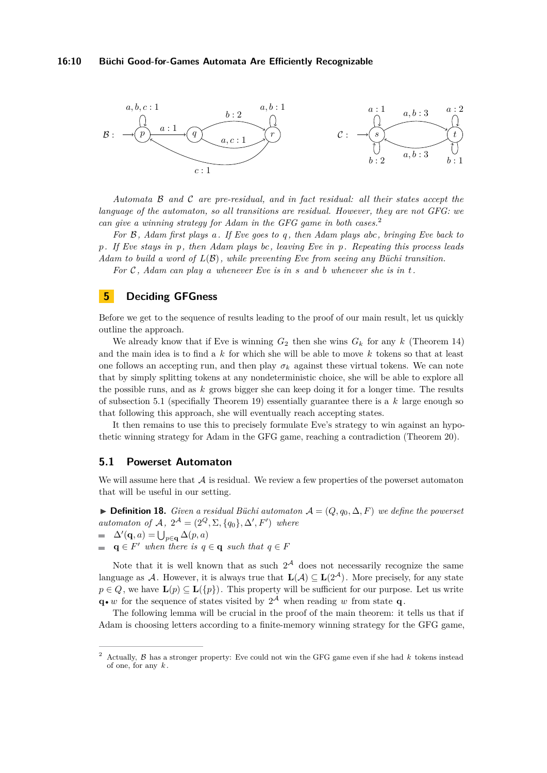

*Automata* B *and* C *are pre-residual, and in fact residual: all their states accept the language of the automaton, so all transitions are residual. However, they are not GFG: we can give a winning strategy for Adam in the GFG game in both cases.*[2](#page-9-0)

*For* B*, Adam first plays a. If Eve goes to q , then Adam plays abc, bringing Eve back to p. If Eve stays in p, then Adam plays bc, leaving Eve in p. Repeating this process leads Adam to build a word of L*(B)*, while preventing Eve from seeing any Büchi transition. For* C *, Adam can play a whenever Eve is in s and b whenever she is in t.*

# **5 Deciding GFGness**

Before we get to the sequence of results leading to the proof of our main result, let us quickly outline the approach.

We already know that if Eve is winning  $G_2$  then she wins  $G_k$  for any  $k$  [\(Theorem 14\)](#page-7-2) and the main idea is to find a *k* for which she will be able to move *k* tokens so that at least one follows an accepting run, and then play  $\sigma_k$  against these virtual tokens. We can note that by simply splitting tokens at any nondeterministic choice, she will be able to explore all the possible runs, and as *k* grows bigger she can keep doing it for a longer time. The results of [subsection 5.1](#page-9-1) (specifially [Theorem 19\)](#page-10-0) essentially guarantee there is a *k* large enough so that following this approach, she will eventually reach accepting states.

It then remains to use this to precisely formulate Eve's strategy to win against an hypothetic winning strategy for Adam in the GFG game, reaching a contradiction [\(Theorem 20\)](#page-10-1).

# <span id="page-9-1"></span>**5.1 Powerset Automaton**

We will assume here that  $A$  is residual. We review a few properties of the powerset automaton that will be useful in our setting.

**► Definition 18.** *Given a residual Büchi automaton*  $A = (Q, q_0, \Delta, F)$  *we define the powerset automaton of*  $A$ *,*  $2^{\mathcal{A}} = (2^{\mathcal{Q}}, \Sigma, \{q_0\}, \Delta', F')$  *where*  $\Delta'(\mathbf{q}, a) = \bigcup_{p \in \mathbf{q}} \Delta(p, a)$ 

 $q \in F'$  *when there is*  $q \in q$  *such that*  $q \in F'$  $\blacksquare$ 

Note that it is well known that as such  $2^{\mathcal{A}}$  does not necessarily recognize the same language as A. However, it is always true that  $\mathbf{L}(\mathcal{A}) \subseteq \mathbf{L}(2^{\mathcal{A}})$ . More precisely, for any state  $p \in Q$ , we have  $\mathbf{L}(p) \subset \mathbf{L}(\{p\})$ . This property will be sufficient for our purpose. Let us write  $\mathbf{q} \cdot \mathbf{w}$  for the sequence of states visited by  $2^{\mathcal{A}}$  when reading *w* from state **q**.

The following lemma will be crucial in the proof of the main theorem: it tells us that if Adam is choosing letters according to a finite-memory winning strategy for the GFG game,

<span id="page-9-0"></span><sup>2</sup> Actually, B has a stronger property: Eve could not win the GFG game even if she had *k* tokens instead of one, for any *k* .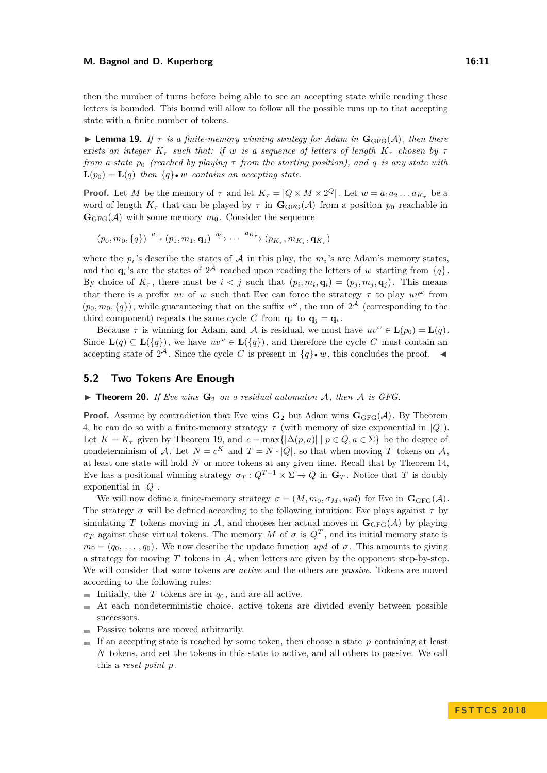then the number of turns before being able to see an accepting state while reading these letters is bounded. This bound will allow to follow all the possible runs up to that accepting state with a finite number of tokens.

<span id="page-10-0"></span>**I Lemma 19.** If  $\tau$  is a finite-memory winning strategy for Adam in  $\mathbf{G}_{\text{GFG}}(\mathcal{A})$ , then there *exists an integer*  $K_{\tau}$  *such that: if w is a sequence of letters of length*  $K_{\tau}$  *chosen by*  $\tau$ *from a state p*<sup>0</sup> *(reached by playing τ from the starting position), and q is any state with*  $\mathbf{L}(p_0) = \mathbf{L}(q)$  then  $\{q\} \bullet w$  contains an accepting state.

**Proof.** Let *M* be the memory of  $\tau$  and let  $K_{\tau} = |Q \times M \times 2^Q|$ . Let  $w = a_1 a_2 ... a_{K_{\tau}}$  be a word of length  $K_{\tau}$  that can be played by  $\tau$  in  $\mathbf{G}_{GFG}(\mathcal{A})$  from a position  $p_0$  reachable in  $\mathbf{G}_{\text{GFG}}(\mathcal{A})$  with some memory  $m_0$ . Consider the sequence

 $(p_0, m_0, \{q\}) \stackrel{a_1}{\longrightarrow} (p_1, m_1, \mathbf{q}_1) \stackrel{a_2}{\longrightarrow} \cdots \stackrel{a_{K_{\tau}}}{\longrightarrow} (p_{K_{\tau}}, m_{K_{\tau}}, \mathbf{q}_{K_{\tau}})$ 

where the  $p_i$ 's describe the states of A in this play, the  $m_i$ 's are Adam's memory states, and the  $\mathbf{q}_i$ 's are the states of  $2^{\mathcal{A}}$  reached upon reading the letters of *w* starting from  $\{q\}$ . By choice of  $K_{\tau}$ , there must be  $i < j$  such that  $(p_i, m_i, \mathbf{q}_i) = (p_j, m_j, \mathbf{q}_j)$ . This means that there is a prefix *uv* of *w* such that Eve can force the strategy  $\tau$  to play  $uv^{\omega}$  from  $(p_0, m_0, \{q\})$ , while guaranteeing that on the suffix  $v^{\omega}$ , the run of  $2^{\mathcal{A}}$  (corresponding to the third component) repeats the same cycle *C* from  $\mathbf{q}_i$  to  $\mathbf{q}_j = \mathbf{q}_i$ .

Because  $\tau$  is winning for Adam, and A is residual, we must have  $uv^{\omega} \in L(p_0) = L(q)$ . Since  $\mathbf{L}(q) \subseteq \mathbf{L}(\{q\})$ , we have  $uv^{\omega} \in \mathbf{L}(\{q\})$ , and therefore the cycle *C* must contain an accepting state of  $2^{\mathcal{A}}$ . Since the cycle *C* is present in  ${q\} \cdot w$ , this concludes the proof.

## **5.2 Two Tokens Are Enough**

<span id="page-10-1"></span> $\triangleright$  **Theorem 20.** *If Eve wins*  $\mathbf{G}_2$  *on a residual automaton* A, then A *is GFG.* 

**Proof.** Assume by contradiction that Eve wins  $\mathbf{G}_2$  but Adam wins  $\mathbf{G}_{GFG}(\mathcal{A})$ . By Theorem [4,](#page-4-4) he can do so with a finite-memory strategy *τ* (with memory of size exponential in |*Q*|). Let  $K = K_{\tau}$  given by [Theorem 19,](#page-10-0) and  $c = \max\{|\Delta(p, a)| \mid p \in Q, a \in \Sigma\}$  be the degree of nondeterminism of A. Let  $N = c^K$  and  $T = N \cdot |Q|$ , so that when moving T tokens on A, at least one state will hold *N* or more tokens at any given time. Recall that by [Theorem 14,](#page-7-2) Eve has a positional winning strategy  $\sigma_T: Q^{T+1} \times \Sigma \to Q$  in  $\mathbf{G}_T$ . Notice that *T* is doubly exponential in |*Q*|.

We will now define a finite-memory strategy  $\sigma = (M, m_0, \sigma_M, upd)$  for Eve in  $\mathbf{G}_{\text{GFG}}(\mathcal{A})$ . The strategy  $\sigma$  will be defined according to the following intuition: Eve plays against  $\tau$  by simulating *T* tokens moving in A, and chooses her actual moves in  $\mathbf{G}_{\text{GFG}}(\mathcal{A})$  by playing  $\sigma_T$  against these virtual tokens. The memory *M* of  $\sigma$  is  $Q^T$ , and its initial memory state is  $m_0 = (q_0, \ldots, q_0)$ . We now describe the update function *upd* of  $\sigma$ . This amounts to giving a strategy for moving  $T$  tokens in  $A$ , when letters are given by the opponent step-by-step. We will consider that some tokens are *active* and the others are *passive*. Tokens are moved according to the following rules:

- Initially, the  $T$  tokens are in  $q_0$ , and are all active.  $\mathcal{L}_{\mathcal{A}}$
- At each nondeterministic choice, active tokens are divided evenly between possible successors.
- **Passive tokens are moved arbitrarily.**
- If an accepting state is reached by some token, then choose a state  $p$  containing at least *N* tokens, and set the tokens in this state to active, and all others to passive. We call this a *reset point p*.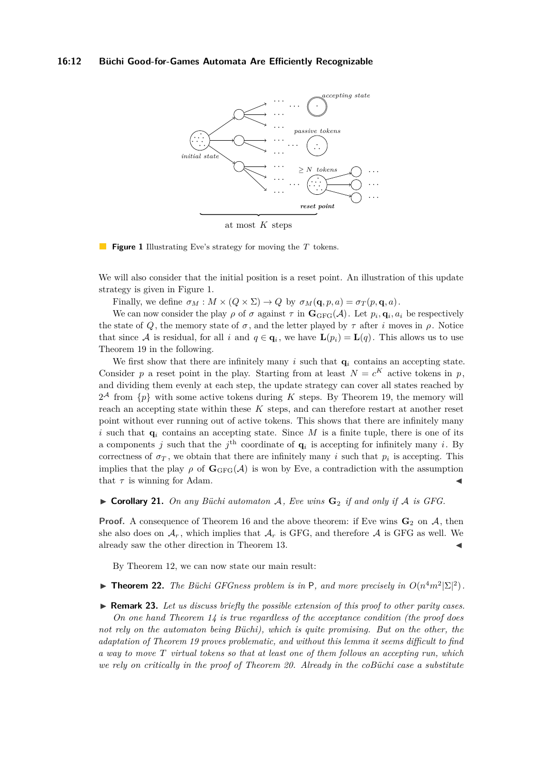#### <span id="page-11-0"></span>**16:12 Büchi Good-for-Games Automata Are Efficiently Recognizable**



at most *K* steps

 $\mathcal{L}_{\mathcal{A}}$ **Figure 1** Illustrating Eve's strategy for moving the *T* tokens.

We will also consider that the initial position is a reset point. An illustration of this update strategy is given in Figure [1.](#page-11-0)

Finally, we define  $\sigma_M : M \times (Q \times \Sigma) \to Q$  by  $\sigma_M(\mathbf{q}, p, a) = \sigma_T(p, \mathbf{q}, a)$ .

We can now consider the play  $\rho$  of  $\sigma$  against  $\tau$  in  $\mathbf{G}_{GFG}(\mathcal{A})$ . Let  $p_i, \mathbf{q}_i, a_i$  be respectively the state of *Q*, the memory state of  $\sigma$ , and the letter played by  $\tau$  after *i* moves in  $\rho$ . Notice that since A is residual, for all *i* and  $q \in \mathbf{q}_i$ , we have  $\mathbf{L}(p_i) = \mathbf{L}(q)$ . This allows us to use [Theorem 19](#page-10-0) in the following.

We first show that there are infinitely many  $i$  such that  $q_i$  contains an accepting state. Consider p a reset point in the play. Starting from at least  $N = c^K$  active tokens in p, and dividing them evenly at each step, the update strategy can cover all states reached by  $2^{\mathcal{A}}$  from  $\{p\}$  with some active tokens during *K* steps. By [Theorem 19,](#page-10-0) the memory will reach an accepting state within these *K* steps, and can therefore restart at another reset point without ever running out of active tokens. This shows that there are infinitely many *i* such that  $q_i$  contains an accepting state. Since M is a finite tuple, there is one of its a components *j* such that the *j*<sup>th</sup> coordinate of  $\mathbf{q}_i$  is accepting for infinitely many *i*. By correctness of  $\sigma_T$ , we obtain that there are infinitely many *i* such that  $p_i$  is accepting. This implies that the play  $\rho$  of  $\mathbf{G}_{\text{GFG}}(\mathcal{A})$  is won by Eve, a contradiction with the assumption that  $\tau$  is winning for Adam.

I **Corollary 21.** *On any Büchi automaton* A*, Eve wins* **G**<sup>2</sup> *if and only if* A *is GFG.*

**Proof.** A consequence of [Theorem 16](#page-8-0) and the above theorem: if Eve wins  $\mathbf{G}_2$  on  $A$ , then she also does on  $\mathcal{A}_r$ , which implies that  $\mathcal{A}_r$  is GFG, and therefore  $\mathcal A$  is GFG as well. We already saw the other direction in [Theorem 13.](#page-7-1)

By [Theorem 12,](#page-7-3) we can now state our main result:

**Find 12.** *The Büchi GFGness problem is in* P, and more precisely in  $O(n^4m^2|\Sigma|^2)$ .

▶ **Remark 23.** Let us discuss briefly the possible extension of this proof to other parity cases. *On one hand [Theorem 14](#page-7-2) is true regardless of the acceptance condition (the proof does not rely on the automaton being Büchi), which is quite promising. But on the other, the adaptation of [Theorem 19](#page-10-0) proves problematic, and without this lemma it seems difficult to find a way to move T virtual tokens so that at least one of them follows an accepting run, which we rely on critically in the proof of [Theorem 20.](#page-10-1) Already in the coBüchi case a substitute*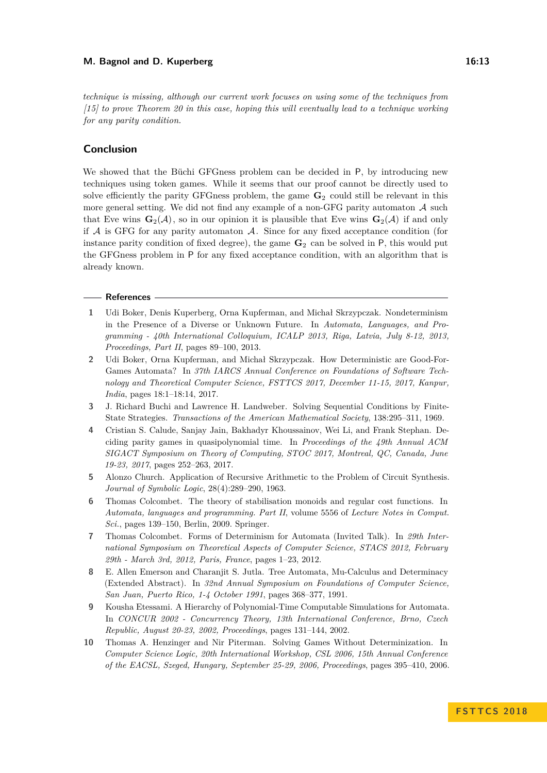*technique is missing, although our current work focuses on using some of the techniques from [\[15\]](#page-13-1) to prove [Theorem 20](#page-10-1) in this case, hoping this will eventually lead to a technique working for any parity condition.*

## **Conclusion**

We showed that the Büchi GFGness problem can be decided in P, by introducing new techniques using token games. While it seems that our proof cannot be directly used to solve efficiently the parity GFGness problem, the game **G**<sup>2</sup> could still be relevant in this more general setting. We did not find any example of a non-GFG parity automaton  $A$  such that Eve wins  $\mathbf{G}_2(\mathcal{A})$ , so in our opinion it is plausible that Eve wins  $\mathbf{G}_2(\mathcal{A})$  if and only if  $A$  is GFG for any parity automaton  $A$ . Since for any fixed acceptance condition (for instance parity condition of fixed degree), the game  $\mathbf{G}_2$  can be solved in P, this would put the GFGness problem in P for any fixed acceptance condition, with an algorithm that is already known.

#### **References**

- <span id="page-12-4"></span>**1** Udi Boker, Denis Kuperberg, Orna Kupferman, and Michał Skrzypczak. Nondeterminism in the Presence of a Diverse or Unknown Future. In *Automata, Languages, and Programming - 40th International Colloquium, ICALP 2013, Riga, Latvia, July 8-12, 2013, Proceedings, Part II*, pages 89–100, 2013.
- <span id="page-12-6"></span>**2** Udi Boker, Orna Kupferman, and Michał Skrzypczak. How Deterministic are Good-For-Games Automata? In *37th IARCS Annual Conference on Foundations of Software Technology and Theoretical Computer Science, FSTTCS 2017, December 11-15, 2017, Kanpur, India*, pages 18:1–18:14, 2017.
- <span id="page-12-1"></span>**3** J. Richard Buchi and Lawrence H. Landweber. Solving Sequential Conditions by Finite-State Strategies. *Transactions of the American Mathematical Society*, 138:295–311, 1969.
- <span id="page-12-9"></span>**4** Cristian S. Calude, Sanjay Jain, Bakhadyr Khoussainov, Wei Li, and Frank Stephan. Deciding parity games in quasipolynomial time. In *Proceedings of the 49th Annual ACM SIGACT Symposium on Theory of Computing, STOC 2017, Montreal, QC, Canada, June 19-23, 2017*, pages 252–263, 2017.
- <span id="page-12-0"></span>**5** Alonzo Church. Application of Recursive Arithmetic to the Problem of Circuit Synthesis. *Journal of Symbolic Logic*, 28(4):289–290, 1963.
- <span id="page-12-3"></span>**6** Thomas Colcombet. The theory of stabilisation monoids and regular cost functions. In *Automata, languages and programming. Part II*, volume 5556 of *Lecture Notes in Comput. Sci.*, pages 139–150, Berlin, 2009. Springer.
- <span id="page-12-5"></span>**7** Thomas Colcombet. Forms of Determinism for Automata (Invited Talk). In *29th International Symposium on Theoretical Aspects of Computer Science, STACS 2012, February 29th - March 3rd, 2012, Paris, France*, pages 1–23, 2012.
- <span id="page-12-8"></span>**8** E. Allen Emerson and Charanjit S. Jutla. Tree Automata, Mu-Calculus and Determinacy (Extended Abstract). In *32nd Annual Symposium on Foundations of Computer Science, San Juan, Puerto Rico, 1-4 October 1991*, pages 368–377, 1991.
- <span id="page-12-7"></span>**9** Kousha Etessami. A Hierarchy of Polynomial-Time Computable Simulations for Automata. In *CONCUR 2002 - Concurrency Theory, 13th International Conference, Brno, Czech Republic, August 20-23, 2002, Proceedings*, pages 131–144, 2002.
- <span id="page-12-2"></span>**10** Thomas A. Henzinger and Nir Piterman. Solving Games Without Determinization. In *Computer Science Logic, 20th International Workshop, CSL 2006, 15th Annual Conference of the EACSL, Szeged, Hungary, September 25-29, 2006, Proceedings*, pages 395–410, 2006.